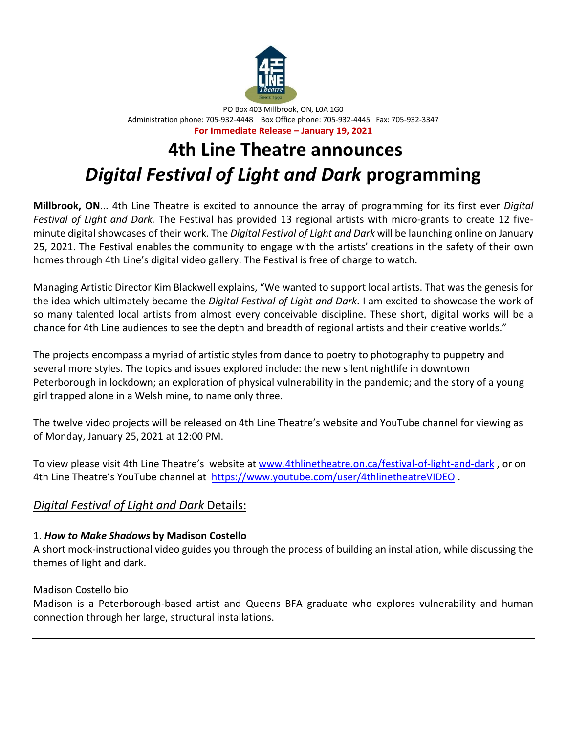

PO Box 403 Millbrook, ON, L0A 1G0 Administration phone: 705-932-4448 Box Office phone: 705-932-4445 Fax: 705-932-3347 **For Immediate Release – January 19, 2021**

# **4th Line Theatre announces** *Digital Festival of Light and Dark* **programming**

**Millbrook, ON**... 4th Line Theatre is excited to announce the array of programming for its first ever *Digital Festival of Light and Dark.* The Festival has provided 13 regional artists with micro-grants to create 12 fiveminute digital showcases of their work. The *Digital Festival of Light and Dark* will be launching online on January 25, 2021. The Festival enables the community to engage with the artists' creations in the safety of their own homes through 4th Line's digital video gallery. The Festival is free of charge to watch.

Managing Artistic Director Kim Blackwell explains, "We wanted to support local artists. That was the genesis for the idea which ultimately became the *Digital Festival of Light and Dark*. I am excited to showcase the work of so many talented local artists from almost every conceivable discipline. These short, digital works will be a chance for 4th Line audiences to see the depth and breadth of regional artists and their creative worlds."

The projects encompass a myriad of artistic styles from dance to poetry to photography to puppetry and several more styles. The topics and issues explored include: the new silent nightlife in downtown Peterborough in lockdown; an exploration of physical vulnerability in the pandemic; and the story of a young girl trapped alone in a Welsh mine, to name only three.

The twelve video projects will be released on 4th Line Theatre's website and YouTube channel for viewing as of Monday, January 25, 2021 at 12:00 PM.

To view please visit 4th Line Theatre's website at [www.4thlinetheatre.on.ca/festival-of-light-and-dark](http://www.4thlinetheatre.on.ca/festival-of-light-and-dark) , or on 4th Line Theatre's YouTube channel at <https://www.youtube.com/user/4thlinetheatreVIDEO>.

# *Digital Festival of Light and Dark* Details:

## 1. *How to Make Shadows* **by Madison Costello**

A short mock-instructional video guides you through the process of building an installation, while discussing the themes of light and dark.

## Madison Costello bio

Madison is a Peterborough-based artist and Queens BFA graduate who explores vulnerability and human connection through her large, structural installations.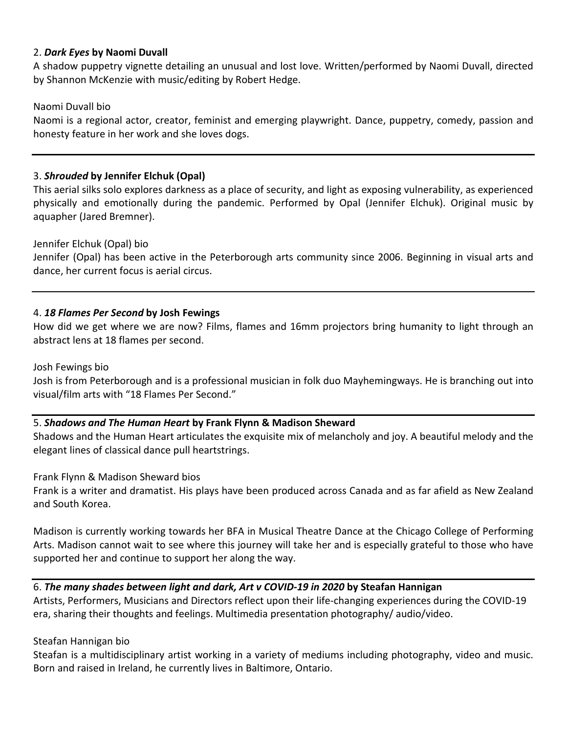#### 2. *Dark Eyes* **by Naomi Duvall**

A shadow puppetry vignette detailing an unusual and lost love. Written/performed by Naomi Duvall, directed by Shannon McKenzie with music/editing by Robert Hedge.

#### Naomi Duvall bio

Naomi is a regional actor, creator, feminist and emerging playwright. Dance, puppetry, comedy, passion and honesty feature in her work and she loves dogs.

#### 3. *Shrouded* **by Jennifer Elchuk (Opal)**

This aerial silks solo explores darkness as a place of security, and light as exposing vulnerability, as experienced physically and emotionally during the pandemic. Performed by Opal (Jennifer Elchuk). Original music by aquapher (Jared Bremner).

#### Jennifer Elchuk (Opal) bio

Jennifer (Opal) has been active in the Peterborough arts community since 2006. Beginning in visual arts and dance, her current focus is aerial circus.

#### 4. *18 Flames Per Second* **by Josh Fewings**

How did we get where we are now? Films, flames and 16mm projectors bring humanity to light through an abstract lens at 18 flames per second.

#### Josh Fewings bio

Josh is from Peterborough and is a professional musician in folk duo Mayhemingways. He is branching out into visual/film arts with "18 Flames Per Second."

#### 5. *Shadows and The Human Heart* **by Frank Flynn & Madison Sheward**

Shadows and the Human Heart articulates the exquisite mix of melancholy and joy. A beautiful melody and the elegant lines of classical dance pull heartstrings.

Frank Flynn & Madison Sheward bios

Frank is a writer and dramatist. His plays have been produced across Canada and as far afield as New Zealand and South Korea.

Madison is currently working towards her BFA in Musical Theatre Dance at the Chicago College of Performing Arts. Madison cannot wait to see where this journey will take her and is especially grateful to those who have supported her and continue to support her along the way.

#### 6. *The many shades between light and dark, Art v COVID-19 in 2020* **by Steafan Hannigan**

Artists, Performers, Musicians and Directors reflect upon their life-changing experiences during the COVID-19 era, sharing their thoughts and feelings. Multimedia presentation photography/ audio/video.

#### Steafan Hannigan bio

Steafan is a multidisciplinary artist working in a variety of mediums including photography, video and music. Born and raised in Ireland, he currently lives in Baltimore, Ontario.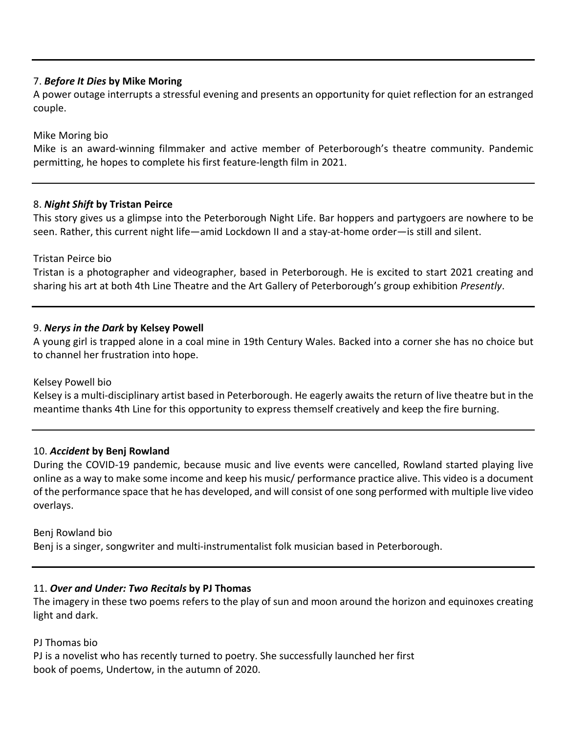#### 7. *Before It Dies* **by Mike Moring**

A power outage interrupts a stressful evening and presents an opportunity for quiet reflection for an estranged couple.

#### Mike Moring bio

Mike is an award-winning filmmaker and active member of Peterborough's theatre community. Pandemic permitting, he hopes to complete his first feature-length film in 2021.

#### 8. *Night Shift* **by Tristan Peirce**

This story gives us a glimpse into the Peterborough Night Life. Bar hoppers and partygoers are nowhere to be seen. Rather, this current night life—amid Lockdown II and a stay-at-home order—is still and silent.

#### Tristan Peirce bio

Tristan is a photographer and videographer, based in Peterborough. He is excited to start 2021 creating and sharing his art at both 4th Line Theatre and the Art Gallery of Peterborough's group exhibition *Presently*.

#### 9. *Nerys in the Dark* **by Kelsey Powell**

A young girl is trapped alone in a coal mine in 19th Century Wales. Backed into a corner she has no choice but to channel her frustration into hope.

#### Kelsey Powell bio

Kelsey is a multi-disciplinary artist based in Peterborough. He eagerly awaits the return of live theatre but in the meantime thanks 4th Line for this opportunity to express themself creatively and keep the fire burning.

#### 10. *Accident* **by Benj Rowland**

During the COVID-19 pandemic, because music and live events were cancelled, Rowland started playing live online as a way to make some income and keep his music/ performance practice alive. This video is a document of the performance space that he has developed, and will consist of one song performed with multiple live video overlays.

#### Benj Rowland bio

Benj is a singer, songwriter and multi-instrumentalist folk musician based in Peterborough.

#### 11. *Over and Under: Two Recitals* **by PJ Thomas**

The imagery in these two poems refers to the play of sun and moon around the horizon and equinoxes creating light and dark.

#### PJ Thomas bio

PJ is a novelist who has recently turned to poetry. She successfully launched her first book of poems, Undertow, in the autumn of 2020.